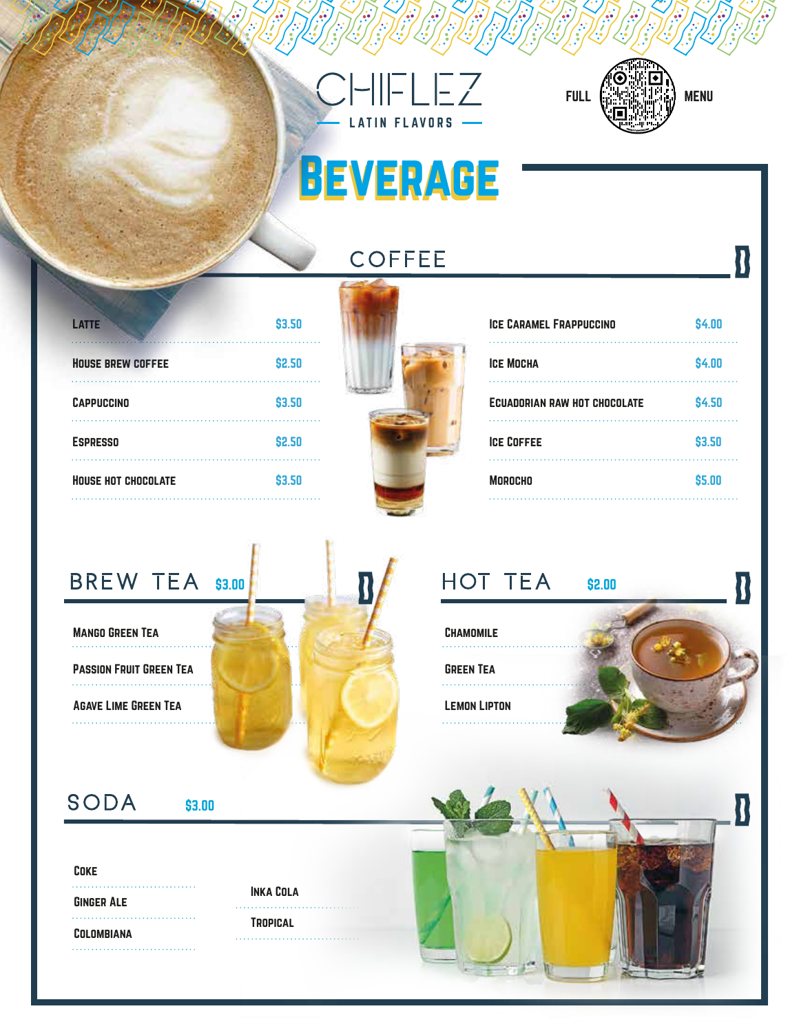



R

R

 $\mathbf{R}$ 

# **BEVERAGE**

**COFFEE** 

| <b>HOUSE HOT CHOCOLATE</b> | \$3.50 |
|----------------------------|--------|
| <b>ESPRESSO</b>            | \$2.50 |
| <b>CAPPUCCINO</b>          | \$3.50 |
| <b>HOUSE BREW COFFEE</b>   | \$2.50 |
| <b>LATTE</b>               | \$3.50 |



| <b>ICE CARAMEL FRAPPUCCINO</b> | \$4.00        |
|--------------------------------|---------------|
| <b>ICE MOCHA</b>               | \$4.00        |
| ECUADORIAN RAW HOT CHOCOLATE   | <b>\$4.50</b> |
| <b>ICE COFFEE</b>              | \$3.50        |
| <b>MOROCHO</b>                 | \$5.00        |
|                                |               |

### BREW TEA \$3.00

Mango Green Tea . . . . . . . . . . . . . . .

Passion Fruit Green Tea

Agave Lime Green Tea 

### HOT TEA \$2.00

**CHAMOMILE** . . . . . . . . . . . . . .

Green Tea

. . . . . . . . . . . . . .

Lemon Lipton

SODA

\$3.00

#### Coke

Ginger Ale Colombiana 

Inka Cola **TROPICAL** 

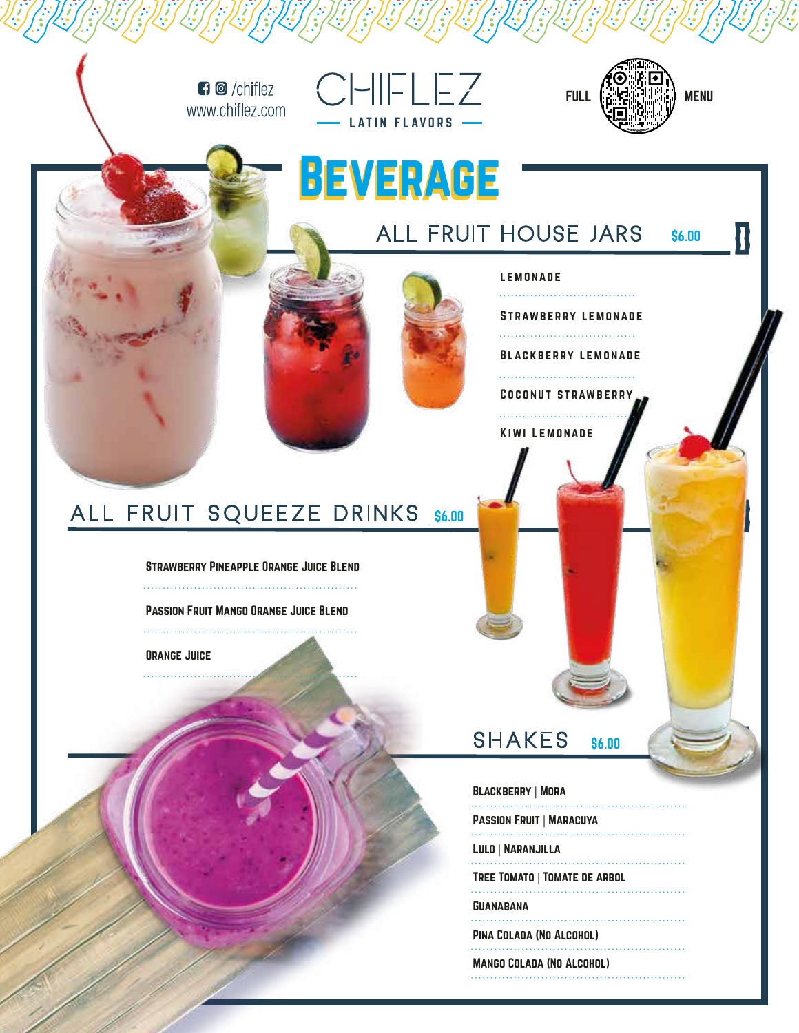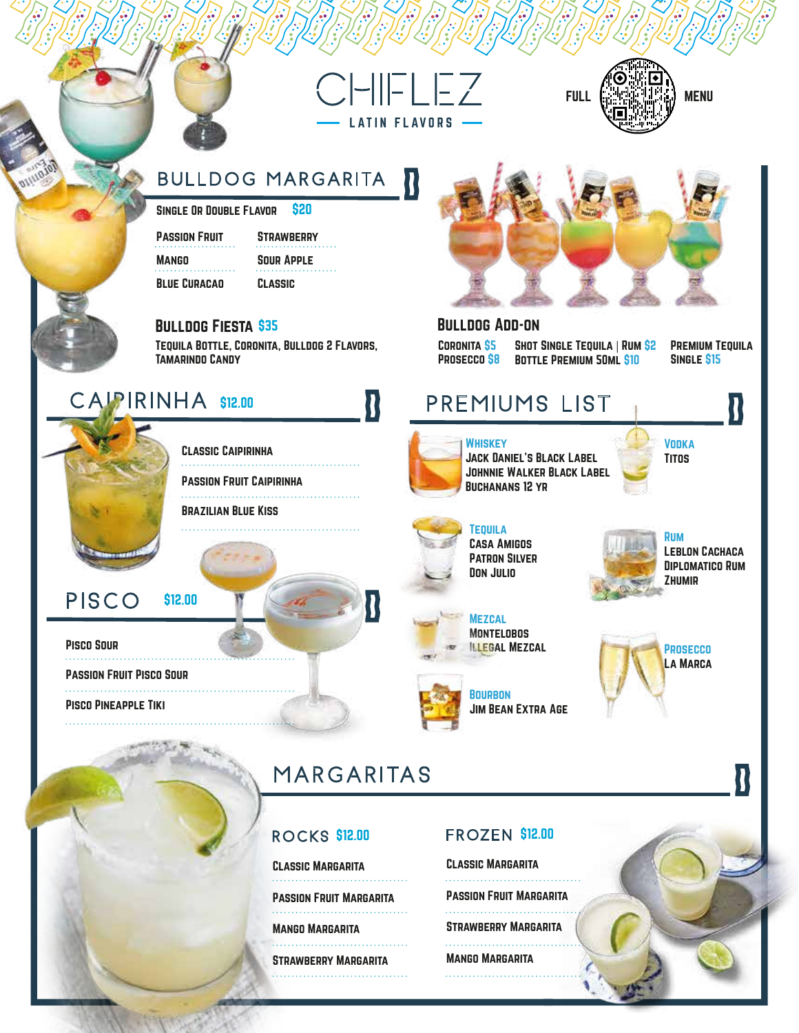



#### **BULLDOG MARGARITA** U

Single Or Double Flavor \$20

Passion Fruit **MANGO** Blue Curacao

Sour Apple Classic

**STRAWBERRY** 

#### Bulldog Fiesta \$35 Bulldog Add-on

Tequila Bottle, Coronita, Bulldog 2 Flavors, Tamarindo Candy

### CAIPIRINHA \$12.00

Classic Caipirinha

Passion Fruit Caipirinha

. . . . . . . . . . . . . . . . . . .

Brazilian Blue Kiss

#### PISCO \$12.00

Pisco Sour

Passion Fruit Pisco Sour Pisco Pineapple Tiki



### MARGARITAS

#### **ROCKS \$12.00**

Classic Margarita

Passion Fruit Margarita

Mango Margarita . . . . . . . . . . . . . . . . . . . Strawberry Margarita

#### **FROZEN \$12.00**

Classic Margarita Passion Fruit Margarita Strawberry Margarita . . . . . . . . . . . . . . . . . . . Mango Margarita . . . . . . . . . . . . . . . .



Coronita \$5 Prosecco \$8

SHOT SINGLE TEQUILA | RUM \$2 Bottle Premium 50ml \$10

PREMIUM TEQUILA Single \$15

**VODKA** Titos

### **PREMIUMS LIST**



IN FLAVORS

**WHISKEY** Jack Daniel's Black Label Johnnie Walker Black Label Buchanans 12 yr

**TEQUILA** Casa Amigos Patron Silver Don Julio

> **MEZCAL MONTELOBOS** Illegal Mezcal

**BOURBON** 

Rum Leblon Cachaca

Diplomatico Rum Zhumir



Jim Bean Extra Age

U